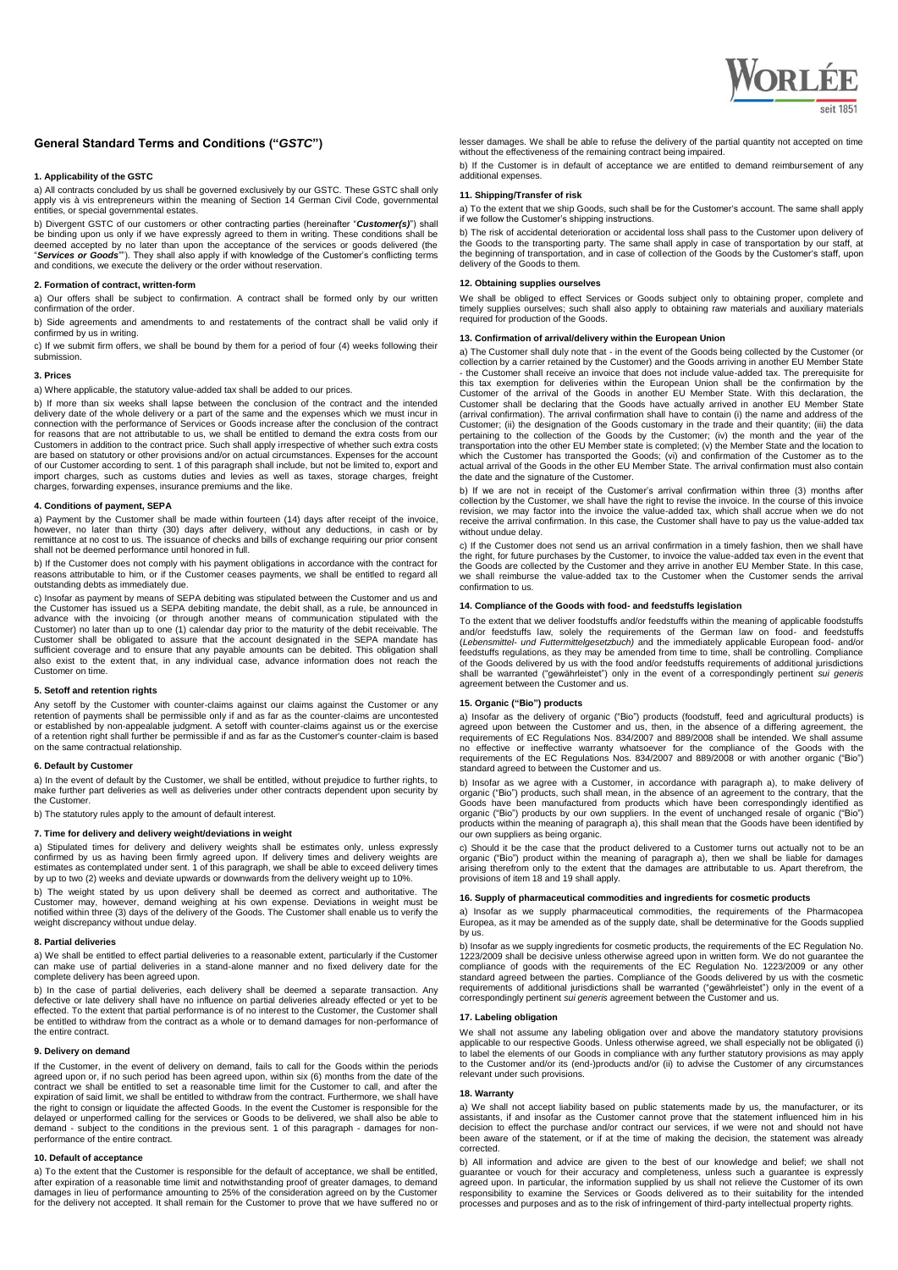

# **General Standard Terms and Conditions ("***GSTC***")**

## **1. Applicability of the GSTC**

a) All contracts concluded by us shall be governed exclusively by our GSTC. These GSTC shall only apply vis à vis entrepreneurs within the meaning of Section 14 German Civil Code, governmental entities, or special governmental estates.

b) Divergent GSTC of our customers or other contracting parties (hereinafter "Customer(s)") shall<br>be binding upon us only if we have expressly agreed to them in writing. These conditions shall be<br>deemed accepted by no late

#### **2. Formation of contract, written-form**

a) Our offers shall be subject to confirmation. A contract shall be formed only by our written confirmation of the order.

b) Side agreements and amendments to and restatements of the contract shall be valid only if confirmed by us in writing.

c) If we submit firm offers, we shall be bound by them for a period of four (4) weeks following their submission.

## **3. Prices**

a) Where applicable, the statutory value-added tax shall be added to our prices.

b) If more than six weeks shall lapse between the conclusion of the contract and the intended delivery date of the whole delivery or a part of the same and the expenses which we must incur in connection with the performance of Services or Goods increase after the conclusion of the contract for reasons that are not attributable to us, we shall be entitled to demand the extra costs from our Customers in addition to the contract price. Such shall apply irrespective of whether such extra costs are based on statutory or other provisions and/or on actual circumstances. Expenses for the account of our Customer according to sent. 1 of this paragraph shall include, but not be limited to, export and import charges, such as customs duties and levies as well as taxes, storage charges, freight charges, forwarding expenses, insurance premiums and the like.

### **4. Conditions of payment, SEPA**

a) Payment by the Customer shall be made within fourteen (14) days after receipt of the invoice,<br>however, no later than thirty (30) days after delivery, without any deductions, in cash or by<br>remittance at no cost to us. Th shall not be deemed performance until honored in full.

b) If the Customer does not comply with his payment obligations in accordance with the contract for<br>reasons attributable to him, or if the Customer ceases payments, we shall be entitled to regard all<br>outstanding debts as i

c) Insofar as payment by means of SEPA debiting was stipulated between the Customer and us and<br>the Customer has issued us a SEPA debiting mandate, the debit shall, as a rule, be announced in<br>advance with the invoicing Customer) no later than up to one (1) calendar day prior to the maturity of the debit receivable. The Customer shall be obligated to assure that the account designated in the SEPA mandate has sufficient coverage and to ensure that any payable amounts can be debited. This obligation shall also exist to the extent that, in any individual case, advance information does not reach the Customer on time.

## **5. Setoff and retention rights**

Any setoff by the Customer with counter-claims against our claims against the Customer or any retention of payments shall be permissible only if and as far as the counter-claims are uncontested or established by non-appealable judgment. A setoff with counter-claims against us or the exercise of a retention right shall further be permissible if and as far as the Customer's counter-claim is based on the same contractual relationship.

## **6. Default by Customer**

a) In the event of default by the Customer, we shall be entitled, without prejudice to further rights, to make further part deliveries as well as deliveries under other contracts dependent upon security by the Customer.

b) The statutory rules apply to the amount of default interest.

# **7. Time for delivery and delivery weight/deviations in weight**

a) Stipulated times for delivery and delivery weights shall be estimates only, unless expressly confirmed by us as having been firmly agreed upon. If delivery times and delivery weights are<br>estimates as contemplated under sent. 1 of this paragraph, we shall be able to exceed delivery times<br>by up to two (2) weeks and

b) The weight stated by us upon delivery shall be deemed as correct and authoritative. The Customer may, however, demand weighing at his own expense. Deviations in weight must be notified within three (3) days of the delivery of the Goods. The Customer shall enable us to verify the weight discrepancy without undue delay.

#### **8. Partial deliveries**

a) We shall be entitled to effect partial deliveries to a reasonable extent, particularly if the Customer can make use of partial deliveries in a stand-alone manner and no fixed delivery date for the complete delivery has been agreed upon.

b) In the case of partial deliveries, each delivery shall be deemed a separate transaction. Any defective or late delivery shall have no influence on partial deliveries already effected or yet to be effected. To the extent that partial performance is of no interest to the Customer, the Customer shall be entitled to withdraw from the contract as a whole or to demand damages for non-performance of the entire contract.

#### **9. Delivery on demand**

If the Customer, in the event of delivery on demand, fails to call for the Goods within the periods agreed upon or, if no such period has been agreed upon, within six (6) months from the date of the<br>contract we shall be entitled to set a reasonable time limit for the Customer to call, and after the<br>expiration of said lim the right to consign or liquidate the affected Goods. In the event the Customer is responsible for the delayed or unperformed calling for the services or Goods to be delivered, we shall also be able to demand - subject to the conditions in the previous sent. 1 of this paragraph - damages for non-performance of the entire contract.

# **10. Default of acceptance**

a) To the extent that the Customer is responsible for the default of acceptance, we shall be entitled, after expiration of a reasonable time limit and notwithstanding proof of greater damages, to demand damages in lieu of performance amounting to 25% of the consideration agreed on by the Customer for the delivery not accepted. It shall remain for the Customer to prove that we have suffered no or lesser damages. We shall be able to refuse the delivery of the partial quantity not accepted on time without the effectiveness of the remaining contract being impaired.

b) If the Customer is in default of acceptance we are entitled to demand reimbursement of any additional expenses.

### **11. Shipping/Transfer of risk**

a) To the extent that we ship Goods, such shall be for the Customer's account. The same shall apply if we follow the Customer's shipping instructions.

b) The risk of accidental deterioration or accidental loss shall pass to the Customer upon delivery of the Goods to the transporting party. The same shall apply in case of transportation by our staff, at<br>the beginning of transportation, and in case of collection of the Goods by the Customer's staff, upon<br>delivery of the Goo

### **12. Obtaining supplies ourselves**

We shall be obliged to effect Services or Goods subject only to obtaining proper, complete and timely supplies ourselves; such shall also apply to obtaining raw materials and auxiliary materials required for production of the Goods.

## **13. Confirmation of arrival/delivery within the European Union**

a) The Customer shall duly note that - in the event of the Goods being collected by the Customer (or collection by a carrier retained by the Customer) and the Goods arriving in another EU Member State - the Customer shall receive an invoice that does not include value-added tax. The prerequisite for this tax exemption for deliveries within the European Union shall be the confirmation by the Customer of the arrival of the Goods in another EU Member State. With this declaration, the Customer shall be declaring that the Goods have actually arrived in another EU Member State (arrival confirmation). The arrival confirmation shall have to contain (i) the name and address of the Customer; (ii) the designation of the Goods customary in the trade and their quantity; (iii) the data<br>pertaining to the collection of the Goods by the Customer; (iv) the month and the year of the<br>transportation into the ot which the Customer has transported the Goods; (vi) and confirmation of the Customer as to the actual arrival of the Goods in the other EU Member State. The arrival confirmation must also contain the date and the signature of the Customer.

b) If we are not in receipt of the Customer's arrival confirmation within three (3) months after collection by the Customer, we shall have the right to revise the invoice. In the course of this invoice<br>revision, we may factor into the invoice the value-added tax, which shall accrue when we do not<br>receive the arrival c without undue delay.

c) If the Customer does not send us an arrival confirmation in a timely fashion, then we shall have the right, for future purchases by the Customer, to invoice the value-added tax even in the event that the Goods are collected by the Customer and they arrive in another EU Member State. In this case, we shall reimburse the value-added tax to the Customer when the Customer sends the arrival confirmation to us.

# **14. Compliance of the Goods with food- and feedstuffs legislation**

To the extent that we deliver foodstuffs and/or feedstuffs within the meaning of applicable foodstuffs and/or feedstuffs law, solely the requirements of the German law on food- and feedstuffs (*Lebensmittel- und Futtermittelgesetzbuch)* and the immediately applicable European food- and/or feedstuffs regulations, as they may be amended from time to time, shall be controlling. Compliance of the Goods delivered by us with the food and/or feedstuffs requirements of additional jurisdictions shall be warranted ("gewährleistet") only in the event of a correspondingly pertinent *sui generis* agreement between the Customer and us.

#### **15. Organic ("Bio") products**

a) Insofar as the delivery of organic ("Bio") products (foodstuff, feed and agricultural products) is<br>agreed upon between the Customer and us, then, in the absence of a differing agreement, the<br>requirements of EC Regulatio no effective or ineffective warranty whatsoever for the compliance of the Goods with the requirements of the EC Regulations Nos. 834/2007 and 889/2008 or with another organic ("Bio") standard agreed to between the Customer and us.

b) Insofar as we agree with a Customer, in accordance with paragraph a), to make delivery of organic ("Bio") products, such shall mean, in the absence of an agreement to the contrary, that the Goods have been careford from products within the meaning of paragraph a), this shall mean that the Goods have been identified by our own suppliers as being organic.

c) Should it be the case that the product delivered to a Customer turns out actually not to be an organic ("Bio") product within the meaning of paragraph a), then we shall be liable for damages arising therefrom only to the extent that the damages are attributable to us. Apart therefrom, the provisions of item 18 and 19 shall apply.

# **16. Supply of pharmaceutical commodities and ingredients for cosmetic products**

a) Insofar as we supply pharmaceutical commodities, the requirements of the Pharmacopea Europea, as it may be amended as of the supply date, shall be determinative for the Goods supplied by us.

b) Insofar as we supply ingredients for cosmetic products, the requirements of the EC Regulation No. 1223/2009 shall be decisive unless otherwise agreed upon in written form. We do not guarantee the compliance of goods with the requirements of the EC Regulation No. 1223/2009 or any other standard agreed between the partie correspondingly pertinent *sui generis* agreement between the Customer and us.

#### **17. Labeling obligation**

We shall not assume any labeling obligation over and above the mandatory statutory provisions applicable to our respective Goods. Unless otherwise agreed, we shall especially not be obligated (i) to label the elements of our Goods in compliance with any further statutory provisions as may apply to the Customer and/or its (end-)products and/or (ii) to advise the Customer of any circumstances relevant under such provisions.

#### **18. Warranty**

a) We shall not accept liability based on public statements made by us, the manufacturer, or its<br>assistants, if and insofar as the Customer cannot prove that the statement influenced him in his<br>decision to effect the purch been aware of the statement, or if at the time of making the decision, the statement was already corrected.

b) All information and advice are given to the best of our knowledge and belief; we shall not guarantee or vouch for their accuracy and completeness, unless such a guarantee is expressly agreed upon. In particular, the inf